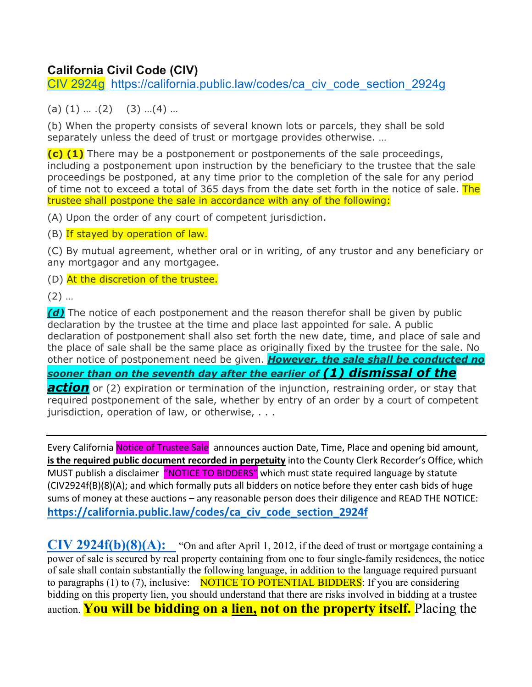## **California Civil Code (CIV)**

CIV 2924g https://california.public.law/codes/ca\_civ\_code\_section\_2924g

 $(a)$   $(1)$   $\dots$   $(2)$   $(3)$   $\dots$   $(4)$   $\dots$ 

(b) When the property consists of several known lots or parcels, they shall be sold separately unless the deed of trust or mortgage provides otherwise. …

**(c) (1)** There may be a postponement or postponements of the sale proceedings, including a postponement upon instruction by the beneficiary to the trustee that the sale proceedings be postponed, at any time prior to the completion of the sale for any period of time not to exceed a total of 365 days from the date set forth in the notice of sale. The trustee shall postpone the sale in accordance with any of the following:

(A) Upon the order of any court of competent jurisdiction.

(B) If stayed by operation of law.

(C) By mutual agreement, whether oral or in writing, of any trustor and any beneficiary or any mortgagor and any mortgagee.

(D) At the discretion of the trustee.

(2) …

*(d)* The notice of each postponement and the reason therefor shall be given by public declaration by the trustee at the time and place last appointed for sale. A public declaration of postponement shall also set forth the new date, time, and place of sale and the place of sale shall be the same place as originally fixed by the trustee for the sale. No other notice of postponement need be given. *However, the sale shall be conducted no sooner than on the seventh day after the earlier of (1) dismissal of the* 

*action* or (2) expiration or termination of the injunction, restraining order, or stay that required postponement of the sale, whether by entry of an order by a court of competent jurisdiction, operation of law, or otherwise, . . .

Every California Notice of Trustee Sale announces auction Date, Time, Place and opening bid amount, **is the required public document recorded in perpetuity** into the County Clerk Recorder's Office, which MUST publish a disclaimer "NOTICE TO BIDDERS" which must state required language by statute (CIV2924f(B)(8)(A); and which formally puts all bidders on notice before they enter cash bids of huge sums of money at these auctions – any reasonable person does their diligence and READ THE NOTICE: **https://california.public.law/codes/ca\_civ\_code\_section\_2924f**

**CIV 2924f(b)(8)(A):** "On and after April 1, 2012, if the deed of trust or mortgage containing a power of sale is secured by real property containing from one to four single-family residences, the notice of sale shall contain substantially the following language, in addition to the language required pursuant to paragraphs (1) to (7), inclusive: NOTICE TO POTENTIAL BIDDERS: If you are considering bidding on this property lien, you should understand that there are risks involved in bidding at a trustee auction. **You will be bidding on a lien, not on the property itself.** Placing the